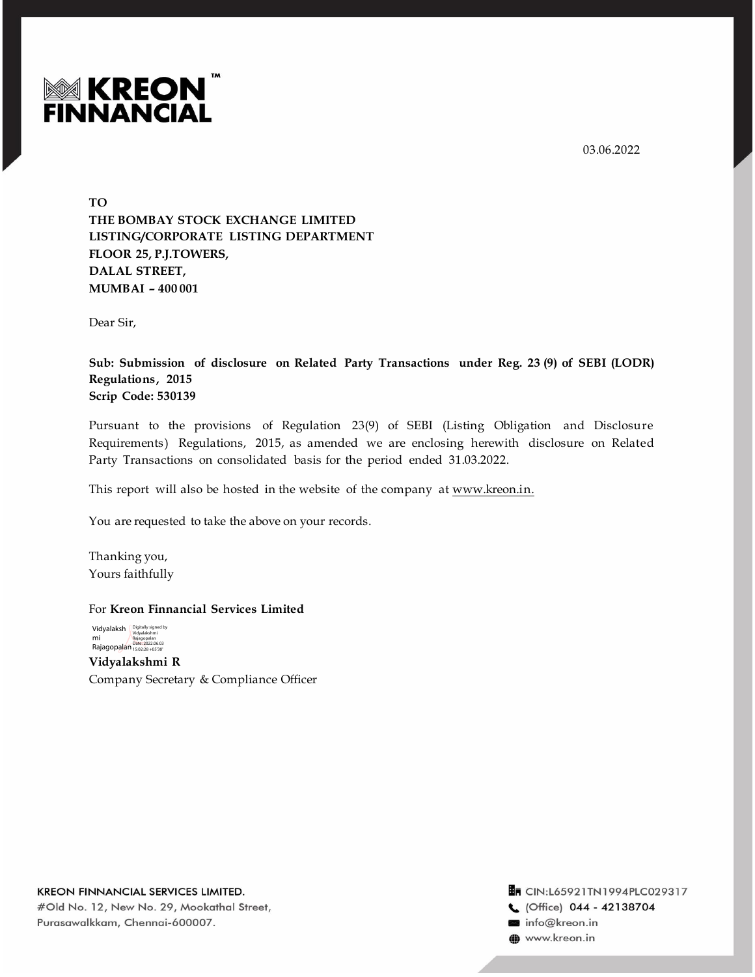03.06.2022



**TO THE BOMBAY STOCK EXCHANGE LIMITED LISTING/CORPORATE LISTING DEPARTMENT FLOOR 25, P.J.TOWERS, DALAL STREET, MUMBAI – 400 001** 

Dear Sir,

**Sub: Submission of disclosure on Related Party Transactions under Reg. 23 (9) of SEBI (LODR) Regulations, 2015 Scrip Code: 530139**

Pursuant to the provisions of Regulation 23(9) of SEBI (Listing Obligation and Disclosure Requirements) Regulations, 2015, as amended we are enclosing herewith disclosure on Related Party Transactions on consolidated basis for the period ended 31.03.2022.

This report will also be hosted in the website of the company at www.kreon.in.

You are requested to take the above on your records.

Thanking you, Yours faithfully

## For **Kreon Finnancial Services Limited**

**Vidyalakshmi R** Company Secretary & Compliance Officer Vidyalaksh Digitally signed by mi Rajagopalan Rajagopalan Date: 2022.06.03 15:02:28 +05'30'

KREON FINNANCIAL SERVICES LIMITED. #Old No. 12, New No. 29, Mookathal Street, Purasawalkkam, Chennai-600007.

Tr CIN:L65921TN1994PLC029317 C (Office) 044 - 42138704 info@kreon.in www.kreon.in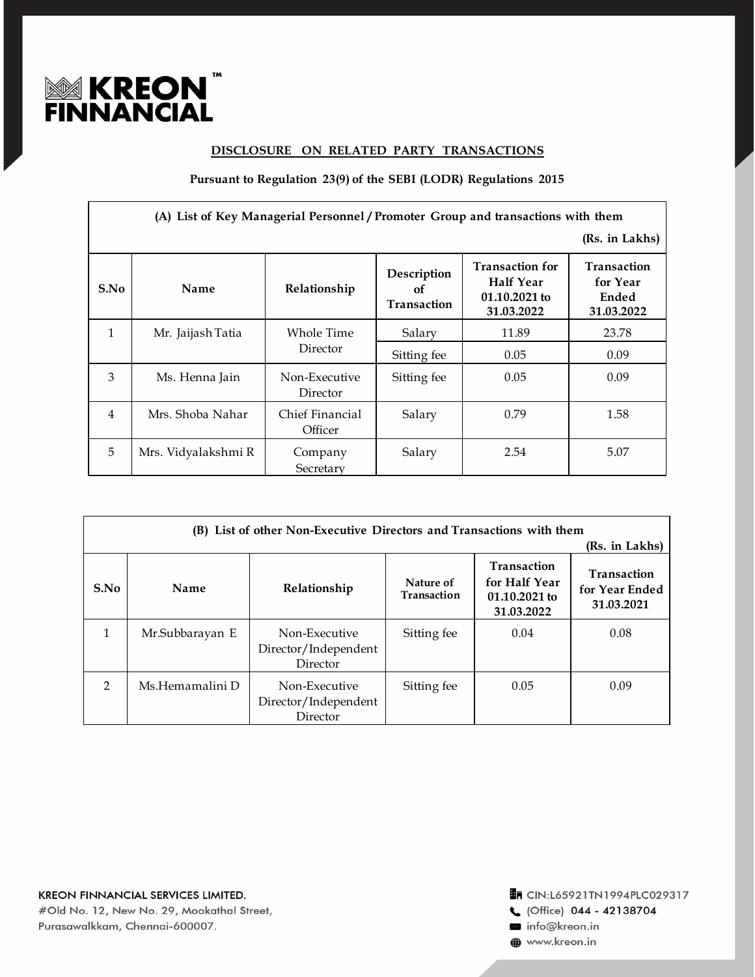

## **DISCLOSURE ON RELATED PARTY TRANSACTIONS**

**Pursuant to Regulation 23(9) of the SEBI (LODR) Regulations 2015**

| (A) List of Key Managerial Personnel / Promoter Group and transactions with them |                     |                            |                                  |                                                                    |                                                       |
|----------------------------------------------------------------------------------|---------------------|----------------------------|----------------------------------|--------------------------------------------------------------------|-------------------------------------------------------|
|                                                                                  |                     |                            |                                  |                                                                    | (Rs. in Lakhs)                                        |
| S.No                                                                             | Name                | Relationship               | Description<br>of<br>Transaction | <b>Transaction for</b><br>Half Year<br>01.10.2021 to<br>31.03.2022 | <b>Transaction</b><br>for Year<br>Ended<br>31.03.2022 |
| $\mathbf{1}$                                                                     | Mr. Jaijash Tatia   | Whole Time                 | Salary                           | 11.89                                                              | 23.78                                                 |
|                                                                                  |                     | Director                   | Sitting fee                      | 0.05                                                               | 0.09                                                  |
| 3                                                                                | Ms. Henna Jain      | Non-Executive<br>Director  | Sitting fee                      | 0.05                                                               | 0.09                                                  |
| 4                                                                                | Mrs. Shoba Nahar    | Chief Financial<br>Officer | Salary                           | 0.79                                                               | 1.58                                                  |
| 5                                                                                | Mrs. Vidyalakshmi R | Company<br>Secretary       | Salary                           | 2.54                                                               | 5.07                                                  |

| (B) List of other Non-Executive Directors and Transactions with them<br>(Rs. in Lakhs) |                 |                                                   |                          |                                                                    |                                                    |
|----------------------------------------------------------------------------------------|-----------------|---------------------------------------------------|--------------------------|--------------------------------------------------------------------|----------------------------------------------------|
| S.No                                                                                   | Name            | Relationship                                      | Nature of<br>Transaction | <b>Transaction</b><br>for Half Year<br>01.10.2021 to<br>31.03.2022 | <b>Transaction</b><br>for Year Ended<br>31.03.2021 |
|                                                                                        | Mr.Subbarayan E | Non-Executive<br>Director/Independent<br>Director | Sitting fee              | 0.04                                                               | 0.08                                               |
| $\mathcal{P}$                                                                          | Ms.Hemamalini D | Non-Executive<br>Director/Independent<br>Director | Sitting fee              | 0.05                                                               | 0.09                                               |

**En CIN:L65921TN1994PLC029317** 

C (Office) 044 - 42138704

info@kreon.in

www.kreon.in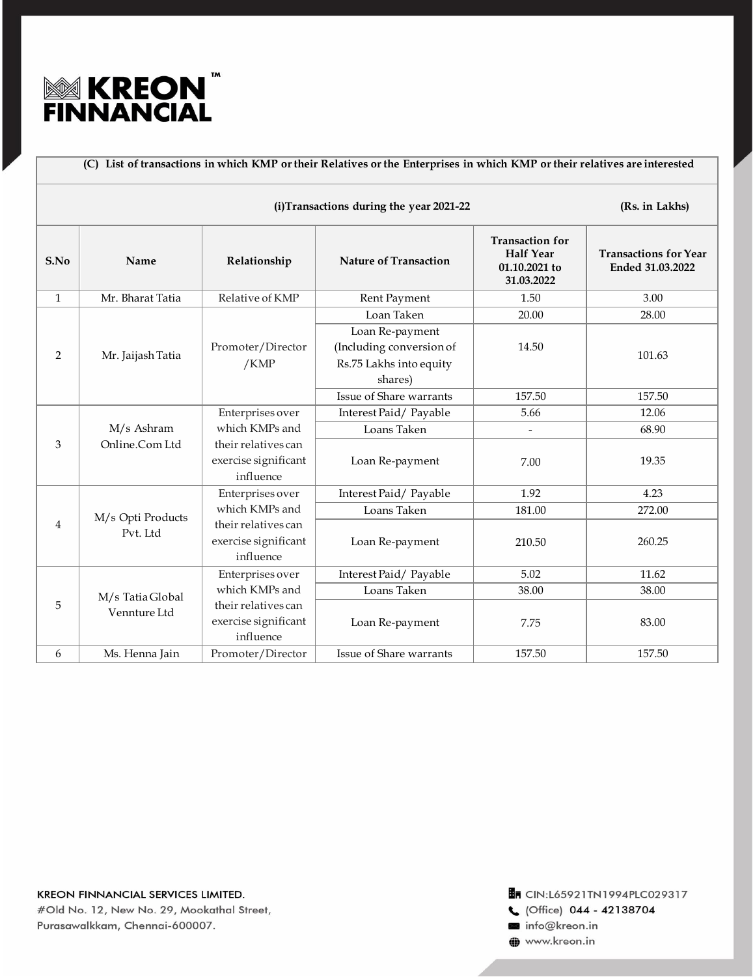

| (C) List of transactions in which KMP or their Relatives or the Enterprises in which KMP or their relatives are interested |                                  |                                                          |                                                                                   |                                                                           |                                                  |
|----------------------------------------------------------------------------------------------------------------------------|----------------------------------|----------------------------------------------------------|-----------------------------------------------------------------------------------|---------------------------------------------------------------------------|--------------------------------------------------|
| (i)Transactions during the year 2021-22                                                                                    |                                  |                                                          |                                                                                   |                                                                           | (Rs. in Lakhs)                                   |
| S.No                                                                                                                       | Name                             | Relationship                                             | <b>Nature of Transaction</b>                                                      | <b>Transaction for</b><br><b>Half Year</b><br>01.10.2021 to<br>31.03.2022 | <b>Transactions for Year</b><br>Ended 31.03.2022 |
| $\mathbf{1}$                                                                                                               | Mr. Bharat Tatia                 | Relative of KMP                                          | Rent Payment                                                                      | 1.50                                                                      | 3.00                                             |
|                                                                                                                            | Mr. Jaijash Tatia                | Promoter/Director<br>$/$ KMP                             | Loan Taken                                                                        | 20.00                                                                     | 28.00                                            |
| $\overline{2}$                                                                                                             |                                  |                                                          | Loan Re-payment<br>(Including conversion of<br>Rs.75 Lakhs into equity<br>shares) | 14.50                                                                     | 101.63                                           |
|                                                                                                                            |                                  |                                                          | Issue of Share warrants                                                           | 157.50                                                                    | 157.50                                           |
|                                                                                                                            | M/s Ashram<br>Online.Com Ltd     | Enterprises over                                         | Interest Paid/Payable                                                             | 5.66                                                                      | 12.06                                            |
|                                                                                                                            |                                  | which KMPs and                                           | Loans Taken                                                                       | $\overline{\phantom{a}}$                                                  | 68.90                                            |
| 3                                                                                                                          |                                  | their relatives can<br>exercise significant<br>influence | Loan Re-payment                                                                   | 7.00                                                                      | 19.35                                            |
| 4                                                                                                                          | M/s Opti Products<br>Pvt. Ltd    | Enterprises over                                         | Interest Paid/Payable                                                             | 1.92                                                                      | 4.23                                             |
|                                                                                                                            |                                  | which KMPs and                                           | Loans Taken                                                                       | 181.00                                                                    | 272.00                                           |
|                                                                                                                            |                                  | their relatives can<br>exercise significant<br>influence | Loan Re-payment                                                                   | 210.50                                                                    | 260.25                                           |
| 5                                                                                                                          | M/s Tatia Global<br>Vennture Ltd | Enterprises over                                         | Interest Paid/Payable                                                             | 5.02                                                                      | 11.62                                            |
|                                                                                                                            |                                  | which KMPs and                                           | Loans Taken                                                                       | 38.00                                                                     | 38.00                                            |
|                                                                                                                            |                                  | their relatives can<br>exercise significant<br>influence | Loan Re-payment                                                                   | 7.75                                                                      | 83.00                                            |
| $6\,$                                                                                                                      | Ms. Henna Jain                   | Promoter/Director                                        | Issue of Share warrants                                                           | 157.50                                                                    | 157.50                                           |

info@kreon.in

www.kreon.in